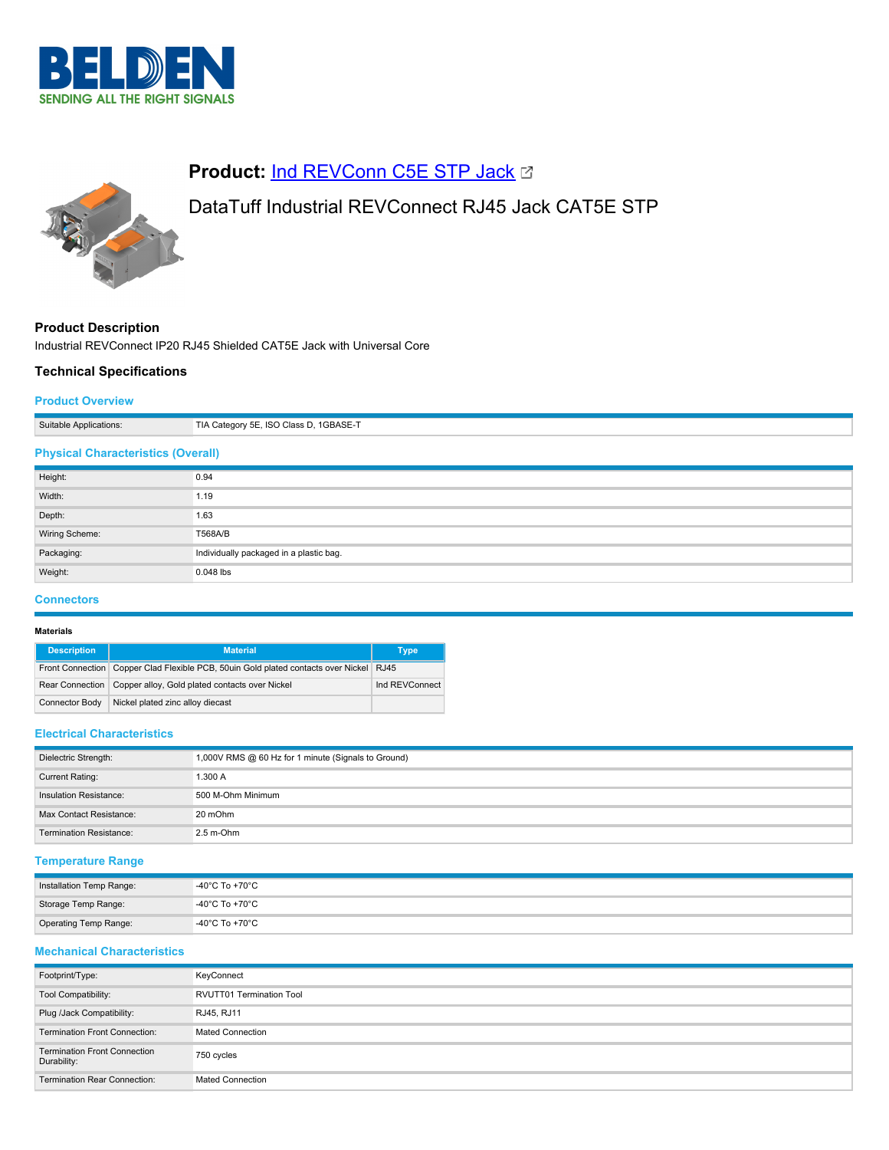



# **Product: [Ind REVConn C5E STP Jack](https://catalog.belden.com/index.cfm?event=pd&p=PF_IndREVConnC5ESTPJack&tab=downloads) &**

# DataTuff Industrial REVConnect RJ45 Jack CAT5E STP

# **Product Description**

Industrial REVConnect IP20 RJ45 Shielded CAT5E Jack with Universal Core

# **Technical Specifications**

## **Product Overview**

| Suitable Applications:                    | TIA Category 5E, ISO Class D, 1GBASE-T  |  |
|-------------------------------------------|-----------------------------------------|--|
| <b>Physical Characteristics (Overall)</b> |                                         |  |
| Height:                                   | 0.94                                    |  |
| Width:                                    | 1.19                                    |  |
| Depth:                                    | 1.63                                    |  |
| Wiring Scheme:                            | T568A/B                                 |  |
| Packaging:                                | Individually packaged in a plastic bag. |  |
| Weight:                                   | 0.048 lbs                               |  |

### **Connectors**

#### **Materials**

| <b>Description</b>    | <b>Material</b>                                                                        | Type           |
|-----------------------|----------------------------------------------------------------------------------------|----------------|
|                       | Front Connection Copper Clad Flexible PCB, 50uin Gold plated contacts over Nickel RJ45 |                |
|                       | Rear Connection   Copper alloy, Gold plated contacts over Nickel                       | Ind REVConnect |
| <b>Connector Body</b> | Nickel plated zinc alloy diecast                                                       |                |

### **Electrical Characteristics**

| Dielectric Strength:           | 1,000V RMS @ 60 Hz for 1 minute (Signals to Ground) |
|--------------------------------|-----------------------------------------------------|
| Current Rating:                | 1.300 A                                             |
| Insulation Resistance:         | 500 M-Ohm Minimum                                   |
| Max Contact Resistance:        | 20 mOhm                                             |
| <b>Termination Resistance:</b> | $2.5 m$ -Ohm                                        |

## **Temperature Range**

| Installation Temp Range: | $\overline{\phantom{a}}$ -40°C To +70°C |
|--------------------------|-----------------------------------------|
| Storage Temp Range:      | -40°C To +70°C                          |
| Operating Temp Range:    | -40°C To +70°C                          |

# **Mechanical Characteristics**

| Footprint/Type:                                    | KeyConnect                      |
|----------------------------------------------------|---------------------------------|
| Tool Compatibility:                                | <b>RVUTT01 Termination Tool</b> |
| Plug /Jack Compatibility:                          | RJ45, RJ11                      |
| <b>Termination Front Connection:</b>               | <b>Mated Connection</b>         |
| <b>Termination Front Connection</b><br>Durability: | 750 cycles                      |
| <b>Termination Rear Connection:</b>                | <b>Mated Connection</b>         |